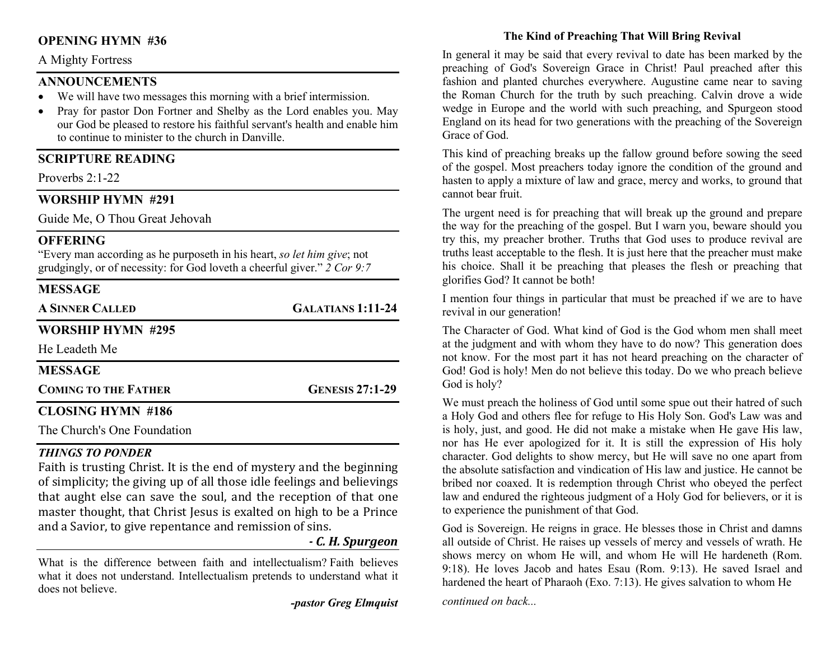# OPENING HYMN #36

#### A Mighty Fortress

# ANNOUNCEMENTS

- We will have two messages this morning with a brief intermission.
- Pray for pastor Don Fortner and Shelby as the Lord enables you. May our God be pleased to restore his faithful servant's health and enable him to continue to minister to the church in Danville.

# SCRIPTURE READING

Proverbs 2:1-22

# WORSHIP HYMN #291

Guide Me, O Thou Great Jehovah

## **OFFERING**

"Every man according as he purposeth in his heart, so let him give; not grudgingly, or of necessity: for God loveth a cheerful giver." 2 Cor 9:7

# **MESSAGE**

A SINNER CALLED GALATIANS 1:11-24

# WORSHIP HYMN #295

He Leadeth Me

| <b>MESSAGE</b>                      |                        |
|-------------------------------------|------------------------|
| <b>COMING TO THE FATHER</b>         | <b>GENESIS 27:1-29</b> |
| $\alpha$ and $\alpha$ have $\alpha$ |                        |

# CLOSING HYMN #186

The Church's One Foundation

#### THINGS TO PONDER

Faith is trusting Christ. It is the end of mystery and the beginning of simplicity; the giving up of all those idle feelings and believings that aught else can save the soul, and the reception of that one master thought, that Christ Jesus is exalted on high to be a Prince and a Savior, to give repentance and remission of sins.

#### - C. H. Spurgeon

What is the difference between faith and intellectualism? Faith believes what it does not understand. Intellectualism pretends to understand what it does not believe.

-pastor Greg Elmquist

# The Kind of Preaching That Will Bring Revival

In general it may be said that every revival to date has been marked by the preaching of God's Sovereign Grace in Christ! Paul preached after this fashion and planted churches everywhere. Augustine came near to saving the Roman Church for the truth by such preaching. Calvin drove a wide wedge in Europe and the world with such preaching, and Spurgeon stood England on its head for two generations with the preaching of the Sovereign Grace of God.

This kind of preaching breaks up the fallow ground before sowing the seed of the gospel. Most preachers today ignore the condition of the ground and hasten to apply a mixture of law and grace, mercy and works, to ground that cannot bear fruit.

The urgent need is for preaching that will break up the ground and prepare the way for the preaching of the gospel. But I warn you, beware should you try this, my preacher brother. Truths that God uses to produce revival are truths least acceptable to the flesh. It is just here that the preacher must make his choice. Shall it be preaching that pleases the flesh or preaching that glorifies God? It cannot be both!

I mention four things in particular that must be preached if we are to have revival in our generation!

The Character of God. What kind of God is the God whom men shall meet at the judgment and with whom they have to do now? This generation does not know. For the most part it has not heard preaching on the character of God! God is holy! Men do not believe this today. Do we who preach believe God is holy?

We must preach the holiness of God until some spue out their hatred of such a Holy God and others flee for refuge to His Holy Son. God's Law was and is holy, just, and good. He did not make a mistake when He gave His law, nor has He ever apologized for it. It is still the expression of His holy character. God delights to show mercy, but He will save no one apart from the absolute satisfaction and vindication of His law and justice. He cannot be bribed nor coaxed. It is redemption through Christ who obeyed the perfect law and endured the righteous judgment of a Holy God for believers, or it is to experience the punishment of that God.

God is Sovereign. He reigns in grace. He blesses those in Christ and damns all outside of Christ. He raises up vessels of mercy and vessels of wrath. He shows mercy on whom He will, and whom He will He hardeneth (Rom. 9:18). He loves Jacob and hates Esau (Rom. 9:13). He saved Israel and hardened the heart of Pharaoh (Exo. 7:13). He gives salvation to whom He continued on back...